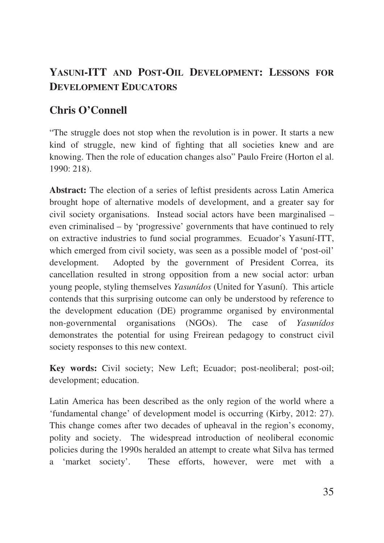# **YASUNI-ITT AND POST-OIL DEVELOPMENT: LESSONS FOR DEVELOPMENT EDUCATORS**

# **Chris O'Connell**

"The struggle does not stop when the revolution is in power. It starts a new kind of struggle, new kind of fighting that all societies knew and are knowing. Then the role of education changes also" Paulo Freire (Horton el al. 1990: 218).

**Abstract:** The election of a series of leftist presidents across Latin America brought hope of alternative models of development, and a greater say for civil society organisations. Instead social actors have been marginalised – even criminalised – by 'progressive' governments that have continued to rely on extractive industries to fund social programmes. Ecuador's Yasuní-ITT, which emerged from civil society, was seen as a possible model of 'post-oil' development. Adopted by the government of President Correa, its cancellation resulted in strong opposition from a new social actor: urban young people, styling themselves *Yasunídos* (United for Yasuní). This article contends that this surprising outcome can only be understood by reference to the development education (DE) programme organised by environmental non-governmental organisations (NGOs). The case of *Yasunídos* demonstrates the potential for using Freirean pedagogy to construct civil society responses to this new context.

**Key words:** Civil society; New Left; Ecuador; post-neoliberal; post-oil; development; education.

Latin America has been described as the only region of the world where a 'fundamental change' of development model is occurring (Kirby, 2012: 27). This change comes after two decades of upheaval in the region's economy, polity and society. The widespread introduction of neoliberal economic policies during the 1990s heralded an attempt to create what Silva has termed a 'market society'. These efforts, however, were met with a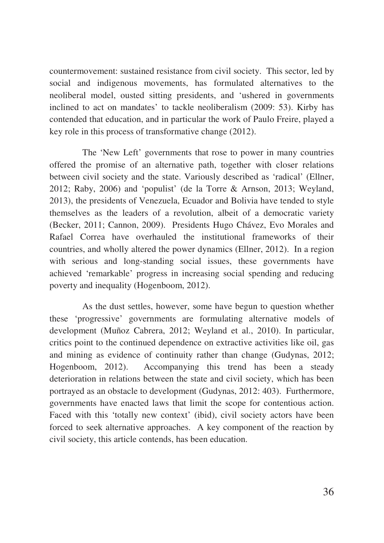countermovement: sustained resistance from civil society. This sector, led by social and indigenous movements, has formulated alternatives to the neoliberal model, ousted sitting presidents, and 'ushered in governments inclined to act on mandates' to tackle neoliberalism (2009: 53). Kirby has contended that education, and in particular the work of Paulo Freire, played a key role in this process of transformative change (2012).

The 'New Left' governments that rose to power in many countries offered the promise of an alternative path, together with closer relations between civil society and the state. Variously described as 'radical' (Ellner, 2012; Raby, 2006) and 'populist' (de la Torre & Arnson, 2013; Weyland, 2013), the presidents of Venezuela, Ecuador and Bolivia have tended to style themselves as the leaders of a revolution, albeit of a democratic variety (Becker, 2011; Cannon, 2009). Presidents Hugo Chávez, Evo Morales and Rafael Correa have overhauled the institutional frameworks of their countries, and wholly altered the power dynamics (Ellner, 2012). In a region with serious and long-standing social issues, these governments have achieved 'remarkable' progress in increasing social spending and reducing poverty and inequality (Hogenboom, 2012).

As the dust settles, however, some have begun to question whether these 'progressive' governments are formulating alternative models of development (Muñoz Cabrera, 2012; Weyland et al., 2010). In particular, critics point to the continued dependence on extractive activities like oil, gas and mining as evidence of continuity rather than change (Gudynas, 2012; Hogenboom, 2012). Accompanying this trend has been a steady deterioration in relations between the state and civil society, which has been portrayed as an obstacle to development (Gudynas, 2012: 403). Furthermore, governments have enacted laws that limit the scope for contentious action. Faced with this 'totally new context' (ibid), civil society actors have been forced to seek alternative approaches. A key component of the reaction by civil society, this article contends, has been education.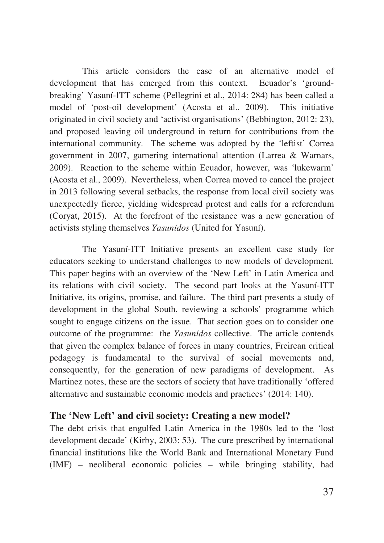This article considers the case of an alternative model of development that has emerged from this context. Ecuador's 'groundbreaking' Yasuní-ITT scheme (Pellegrini et al., 2014: 284) has been called a model of 'post-oil development' (Acosta et al., 2009). This initiative originated in civil society and 'activist organisations' (Bebbington, 2012: 23), and proposed leaving oil underground in return for contributions from the international community. The scheme was adopted by the 'leftist' Correa government in 2007, garnering international attention (Larrea & Warnars, 2009). Reaction to the scheme within Ecuador, however, was 'lukewarm' (Acosta et al., 2009). Nevertheless, when Correa moved to cancel the project in 2013 following several setbacks, the response from local civil society was unexpectedly fierce, yielding widespread protest and calls for a referendum (Coryat, 2015). At the forefront of the resistance was a new generation of activists styling themselves *Yasunídos* (United for Yasuní).

The Yasuní-ITT Initiative presents an excellent case study for educators seeking to understand challenges to new models of development. This paper begins with an overview of the 'New Left' in Latin America and its relations with civil society. The second part looks at the Yasuní-ITT Initiative, its origins, promise, and failure. The third part presents a study of development in the global South, reviewing a schools' programme which sought to engage citizens on the issue. That section goes on to consider one outcome of the programme: the *Yasunídos* collective. The article contends that given the complex balance of forces in many countries, Freirean critical pedagogy is fundamental to the survival of social movements and, consequently, for the generation of new paradigms of development. As Martinez notes, these are the sectors of society that have traditionally 'offered alternative and sustainable economic models and practices' (2014: 140).

## **The 'New Left' and civil society: Creating a new model?**

The debt crisis that engulfed Latin America in the 1980s led to the 'lost development decade' (Kirby, 2003: 53). The cure prescribed by international financial institutions like the World Bank and International Monetary Fund (IMF) – neoliberal economic policies – while bringing stability, had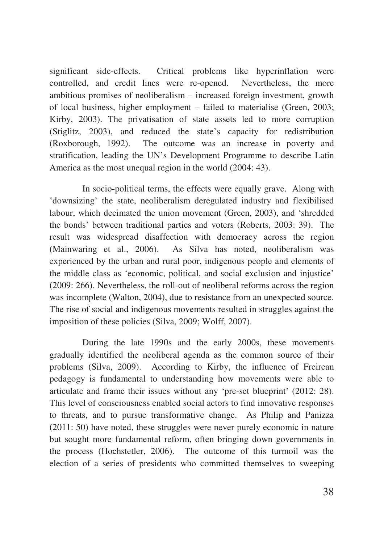significant side-effects. Critical problems like hyperinflation were controlled, and credit lines were re-opened. Nevertheless, the more ambitious promises of neoliberalism – increased foreign investment, growth of local business, higher employment – failed to materialise (Green, 2003; Kirby, 2003). The privatisation of state assets led to more corruption (Stiglitz, 2003), and reduced the state's capacity for redistribution (Roxborough, 1992). The outcome was an increase in poverty and stratification, leading the UN's Development Programme to describe Latin America as the most unequal region in the world (2004: 43).

In socio-political terms, the effects were equally grave. Along with 'downsizing' the state, neoliberalism deregulated industry and flexibilised labour, which decimated the union movement (Green, 2003), and 'shredded the bonds' between traditional parties and voters (Roberts, 2003: 39). The result was widespread disaffection with democracy across the region (Mainwaring et al., 2006). As Silva has noted, neoliberalism was experienced by the urban and rural poor, indigenous people and elements of the middle class as 'economic, political, and social exclusion and injustice' (2009: 266). Nevertheless, the roll-out of neoliberal reforms across the region was incomplete (Walton, 2004), due to resistance from an unexpected source. The rise of social and indigenous movements resulted in struggles against the imposition of these policies (Silva, 2009; Wolff, 2007).

During the late 1990s and the early 2000s, these movements gradually identified the neoliberal agenda as the common source of their problems (Silva, 2009). According to Kirby, the influence of Freirean pedagogy is fundamental to understanding how movements were able to articulate and frame their issues without any 'pre-set blueprint' (2012: 28). This level of consciousness enabled social actors to find innovative responses to threats, and to pursue transformative change. As Philip and Panizza (2011: 50) have noted, these struggles were never purely economic in nature but sought more fundamental reform, often bringing down governments in the process (Hochstetler, 2006). The outcome of this turmoil was the election of a series of presidents who committed themselves to sweeping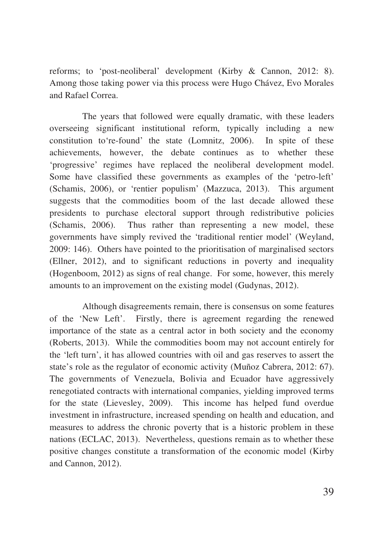reforms; to 'post-neoliberal' development (Kirby & Cannon, 2012: 8). Among those taking power via this process were Hugo Chávez, Evo Morales and Rafael Correa.

The years that followed were equally dramatic, with these leaders overseeing significant institutional reform, typically including a new constitution to're-found' the state (Lomnitz, 2006). In spite of these achievements, however, the debate continues as to whether these 'progressive' regimes have replaced the neoliberal development model. Some have classified these governments as examples of the 'petro-left' (Schamis, 2006), or 'rentier populism' (Mazzuca, 2013). This argument suggests that the commodities boom of the last decade allowed these presidents to purchase electoral support through redistributive policies (Schamis, 2006). Thus rather than representing a new model, these governments have simply revived the 'traditional rentier model' (Weyland, 2009: 146). Others have pointed to the prioritisation of marginalised sectors (Ellner, 2012), and to significant reductions in poverty and inequality (Hogenboom, 2012) as signs of real change. For some, however, this merely amounts to an improvement on the existing model (Gudynas, 2012).

Although disagreements remain, there is consensus on some features of the 'New Left'. Firstly, there is agreement regarding the renewed importance of the state as a central actor in both society and the economy (Roberts, 2013). While the commodities boom may not account entirely for the 'left turn', it has allowed countries with oil and gas reserves to assert the state's role as the regulator of economic activity (Muñoz Cabrera, 2012: 67). The governments of Venezuela, Bolivia and Ecuador have aggressively renegotiated contracts with international companies, yielding improved terms for the state (Lievesley, 2009). This income has helped fund overdue investment in infrastructure, increased spending on health and education, and measures to address the chronic poverty that is a historic problem in these nations (ECLAC, 2013). Nevertheless, questions remain as to whether these positive changes constitute a transformation of the economic model (Kirby and Cannon, 2012).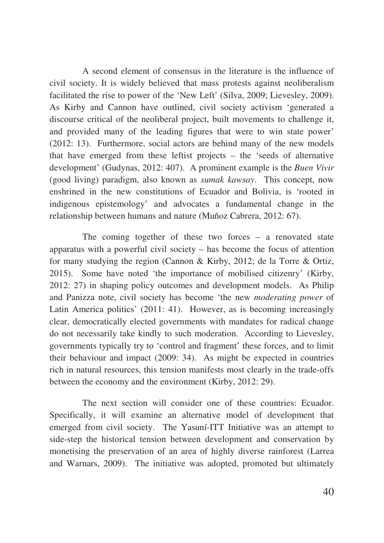A second element of consensus in the literature is the influence of civil society. It is widely believed that mass protests against neoliberalism facilitated the rise to power of the 'New Left' (Silva, 2009; Lievesley, 2009). As Kirby and Cannon have outlined, civil society activism 'generated a discourse critical of the neoliberal project, built movements to challenge it, and provided many of the leading figures that were to win state power' (2012: 13). Furthermore, social actors are behind many of the new models that have emerged from these leftist projects – the 'seeds of alternative development' (Gudynas, 2012: 407). A prominent example is the *Buen Vivir* (good living) paradigm, also known as *sumak kawsay*. This concept, now enshrined in the new constitutions of Ecuador and Bolivia, is 'rooted in indigenous epistemology' and advocates a fundamental change in the relationship between humans and nature (Muñoz Cabrera, 2012: 67).

The coming together of these two forces – a renovated state apparatus with a powerful civil society – has become the focus of attention for many studying the region (Cannon & Kirby, 2012; de la Torre & Ortiz, 2015). Some have noted 'the importance of mobilised citizenry' (Kirby, 2012: 27) in shaping policy outcomes and development models. As Philip and Panizza note, civil society has become 'the new *moderating power* of Latin America politics' (2011: 41). However, as is becoming increasingly clear, democratically elected governments with mandates for radical change do not necessarily take kindly to such moderation. According to Lievesley, governments typically try to 'control and fragment' these forces, and to limit their behaviour and impact (2009: 34). As might be expected in countries rich in natural resources, this tension manifests most clearly in the trade-offs between the economy and the environment (Kirby, 2012: 29).

The next section will consider one of these countries: Ecuador. Specifically, it will examine an alternative model of development that emerged from civil society. The Yasuní-ITT Initiative was an attempt to side-step the historical tension between development and conservation by monetising the preservation of an area of highly diverse rainforest (Larrea and Warnars, 2009). The initiative was adopted, promoted but ultimately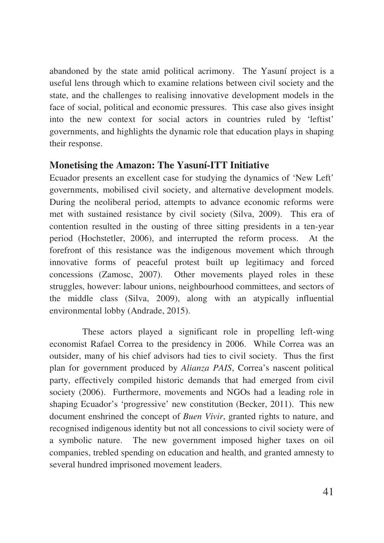abandoned by the state amid political acrimony. The Yasuní project is a useful lens through which to examine relations between civil society and the state, and the challenges to realising innovative development models in the face of social, political and economic pressures. This case also gives insight into the new context for social actors in countries ruled by 'leftist' governments, and highlights the dynamic role that education plays in shaping their response.

## **Monetising the Amazon: The Yasuní-ITT Initiative**

Ecuador presents an excellent case for studying the dynamics of 'New Left' governments, mobilised civil society, and alternative development models. During the neoliberal period, attempts to advance economic reforms were met with sustained resistance by civil society (Silva, 2009). This era of contention resulted in the ousting of three sitting presidents in a ten-year period (Hochstetler, 2006), and interrupted the reform process. At the forefront of this resistance was the indigenous movement which through innovative forms of peaceful protest built up legitimacy and forced concessions (Zamosc, 2007). Other movements played roles in these struggles, however: labour unions, neighbourhood committees, and sectors of the middle class (Silva, 2009), along with an atypically influential environmental lobby (Andrade, 2015).

These actors played a significant role in propelling left-wing economist Rafael Correa to the presidency in 2006. While Correa was an outsider, many of his chief advisors had ties to civil society. Thus the first plan for government produced by *Alianza PAIS*, Correa's nascent political party, effectively compiled historic demands that had emerged from civil society (2006). Furthermore, movements and NGOs had a leading role in shaping Ecuador's 'progressive' new constitution (Becker, 2011). This new document enshrined the concept of *Buen Vivir*, granted rights to nature, and recognised indigenous identity but not all concessions to civil society were of a symbolic nature. The new government imposed higher taxes on oil companies, trebled spending on education and health, and granted amnesty to several hundred imprisoned movement leaders.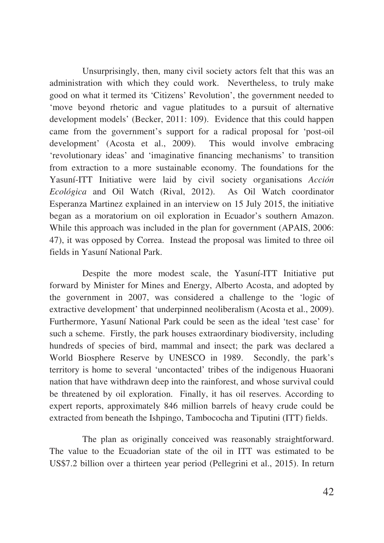Unsurprisingly, then, many civil society actors felt that this was an administration with which they could work. Nevertheless, to truly make good on what it termed its 'Citizens' Revolution', the government needed to 'move beyond rhetoric and vague platitudes to a pursuit of alternative development models' (Becker, 2011: 109). Evidence that this could happen came from the government's support for a radical proposal for 'post-oil development' (Acosta et al., 2009). This would involve embracing 'revolutionary ideas' and 'imaginative financing mechanisms' to transition from extraction to a more sustainable economy. The foundations for the Yasuní-ITT Initiative were laid by civil society organisations *Acción Ecológica* and Oil Watch (Rival, 2012). As Oil Watch coordinator Esperanza Martinez explained in an interview on 15 July 2015, the initiative began as a moratorium on oil exploration in Ecuador's southern Amazon. While this approach was included in the plan for government (APAIS, 2006: 47), it was opposed by Correa. Instead the proposal was limited to three oil fields in Yasuní National Park.

Despite the more modest scale, the Yasuní-ITT Initiative put forward by Minister for Mines and Energy, Alberto Acosta, and adopted by the government in 2007, was considered a challenge to the 'logic of extractive development' that underpinned neoliberalism (Acosta et al., 2009). Furthermore, Yasuní National Park could be seen as the ideal 'test case' for such a scheme. Firstly, the park houses extraordinary biodiversity, including hundreds of species of bird, mammal and insect; the park was declared a World Biosphere Reserve by UNESCO in 1989. Secondly, the park's territory is home to several 'uncontacted' tribes of the indigenous Huaorani nation that have withdrawn deep into the rainforest, and whose survival could be threatened by oil exploration. Finally, it has oil reserves. According to expert reports, approximately 846 million barrels of heavy crude could be extracted from beneath the Ishpingo, Tambococha and Tiputini (ITT) fields.

The plan as originally conceived was reasonably straightforward. The value to the Ecuadorian state of the oil in ITT was estimated to be US\$7.2 billion over a thirteen year period (Pellegrini et al., 2015). In return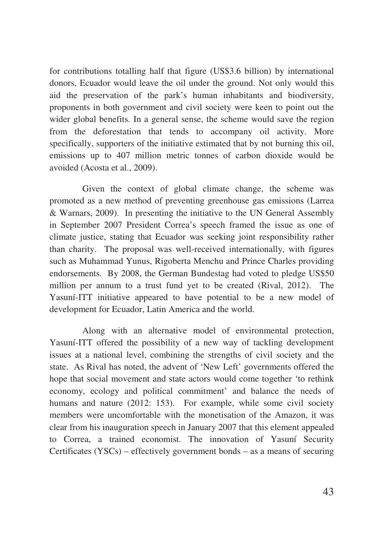for contributions totalling half that figure (US\$3.6 billion) by international donors, Ecuador would leave the oil under the ground. Not only would this aid the preservation of the park's human inhabitants and biodiversity, proponents in both government and civil society were keen to point out the wider global benefits. In a general sense, the scheme would save the region from the deforestation that tends to accompany oil activity. More specifically, supporters of the initiative estimated that by not burning this oil, emissions up to 407 million metric tonnes of carbon dioxide would be avoided (Acosta et al., 2009).

Given the context of global climate change, the scheme was promoted as a new method of preventing greenhouse gas emissions (Larrea & Warnars, 2009). In presenting the initiative to the UN General Assembly in September 2007 President Correa's speech framed the issue as one of climate justice, stating that Ecuador was seeking joint responsibility rather than charity. The proposal was well-received internationally, with figures such as Muhammad Yunus, Rigoberta Menchu and Prince Charles providing endorsements. By 2008, the German Bundestag had voted to pledge US\$50 million per annum to a trust fund yet to be created (Rival, 2012). The Yasuní-ITT initiative appeared to have potential to be a new model of development for Ecuador, Latin America and the world.

Along with an alternative model of environmental protection, Yasuní-ITT offered the possibility of a new way of tackling development issues at a national level, combining the strengths of civil society and the state. As Rival has noted, the advent of 'New Left' governments offered the hope that social movement and state actors would come together 'to rethink economy, ecology and political commitment' and balance the needs of humans and nature (2012: 153). For example, while some civil society members were uncomfortable with the monetisation of the Amazon, it was clear from his inauguration speech in January 2007 that this element appealed to Correa, a trained economist. The innovation of Yasuní Security Certificates (YSCs) – effectively government bonds – as a means of securing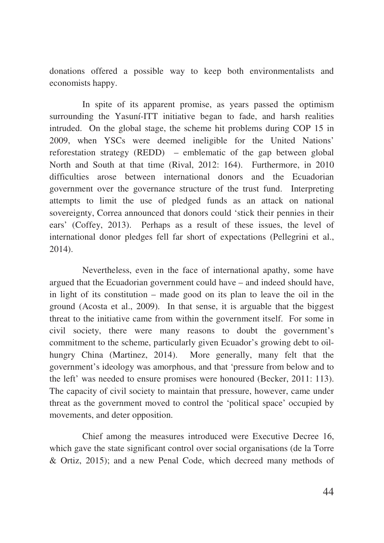donations offered a possible way to keep both environmentalists and economists happy.

In spite of its apparent promise, as years passed the optimism surrounding the Yasuní-ITT initiative began to fade, and harsh realities intruded. On the global stage, the scheme hit problems during COP 15 in 2009, when YSCs were deemed ineligible for the United Nations' reforestation strategy (REDD) – emblematic of the gap between global North and South at that time (Rival, 2012: 164). Furthermore, in 2010 difficulties arose between international donors and the Ecuadorian government over the governance structure of the trust fund. Interpreting attempts to limit the use of pledged funds as an attack on national sovereignty, Correa announced that donors could 'stick their pennies in their ears' (Coffey, 2013). Perhaps as a result of these issues, the level of international donor pledges fell far short of expectations (Pellegrini et al., 2014).

Nevertheless, even in the face of international apathy, some have argued that the Ecuadorian government could have – and indeed should have, in light of its constitution – made good on its plan to leave the oil in the ground (Acosta et al., 2009). In that sense, it is arguable that the biggest threat to the initiative came from within the government itself. For some in civil society, there were many reasons to doubt the government's commitment to the scheme, particularly given Ecuador's growing debt to oilhungry China (Martinez, 2014). More generally, many felt that the government's ideology was amorphous, and that 'pressure from below and to the left' was needed to ensure promises were honoured (Becker, 2011: 113). The capacity of civil society to maintain that pressure, however, came under threat as the government moved to control the 'political space' occupied by movements, and deter opposition.

Chief among the measures introduced were Executive Decree 16, which gave the state significant control over social organisations (de la Torre & Ortiz, 2015); and a new Penal Code, which decreed many methods of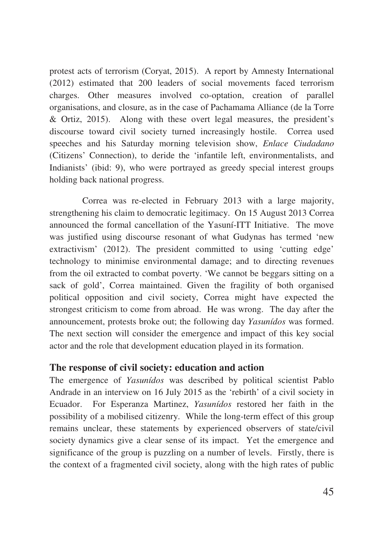protest acts of terrorism (Coryat, 2015). A report by Amnesty International (2012) estimated that 200 leaders of social movements faced terrorism charges. Other measures involved co-optation, creation of parallel organisations, and closure, as in the case of Pachamama Alliance (de la Torre & Ortiz, 2015). Along with these overt legal measures, the president's discourse toward civil society turned increasingly hostile. Correa used speeches and his Saturday morning television show, *Enlace Ciudadano*  (Citizens' Connection), to deride the 'infantile left, environmentalists, and Indianists' (ibid: 9), who were portrayed as greedy special interest groups holding back national progress.

Correa was re-elected in February 2013 with a large majority, strengthening his claim to democratic legitimacy. On 15 August 2013 Correa announced the formal cancellation of the Yasuní-ITT Initiative. The move was justified using discourse resonant of what Gudynas has termed 'new extractivism' (2012). The president committed to using 'cutting edge' technology to minimise environmental damage; and to directing revenues from the oil extracted to combat poverty. 'We cannot be beggars sitting on a sack of gold', Correa maintained. Given the fragility of both organised political opposition and civil society, Correa might have expected the strongest criticism to come from abroad. He was wrong. The day after the announcement, protests broke out; the following day *Yasunídos* was formed. The next section will consider the emergence and impact of this key social actor and the role that development education played in its formation.

## **The response of civil society: education and action**

The emergence of *Yasunídos* was described by political scientist Pablo Andrade in an interview on 16 July 2015 as the 'rebirth' of a civil society in Ecuador. For Esperanza Martinez, *Yasunídos* restored her faith in the possibility of a mobilised citizenry. While the long-term effect of this group remains unclear, these statements by experienced observers of state/civil society dynamics give a clear sense of its impact. Yet the emergence and significance of the group is puzzling on a number of levels. Firstly, there is the context of a fragmented civil society, along with the high rates of public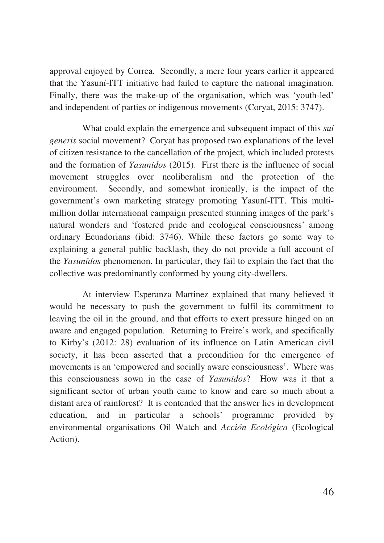approval enjoyed by Correa. Secondly, a mere four years earlier it appeared that the Yasuní-ITT initiative had failed to capture the national imagination. Finally, there was the make-up of the organisation, which was 'youth-led' and independent of parties or indigenous movements (Coryat, 2015: 3747).

What could explain the emergence and subsequent impact of this *sui generis* social movement? Coryat has proposed two explanations of the level of citizen resistance to the cancellation of the project, which included protests and the formation of *Yasunídos* (2015). First there is the influence of social movement struggles over neoliberalism and the protection of the environment. Secondly, and somewhat ironically, is the impact of the government's own marketing strategy promoting Yasuní-ITT. This multimillion dollar international campaign presented stunning images of the park's natural wonders and 'fostered pride and ecological consciousness' among ordinary Ecuadorians (ibid: 3746). While these factors go some way to explaining a general public backlash, they do not provide a full account of the *Yasunídos* phenomenon. In particular, they fail to explain the fact that the collective was predominantly conformed by young city-dwellers.

At interview Esperanza Martinez explained that many believed it would be necessary to push the government to fulfil its commitment to leaving the oil in the ground, and that efforts to exert pressure hinged on an aware and engaged population. Returning to Freire's work, and specifically to Kirby's (2012: 28) evaluation of its influence on Latin American civil society, it has been asserted that a precondition for the emergence of movements is an 'empowered and socially aware consciousness'. Where was this consciousness sown in the case of *Yasunídos*? How was it that a significant sector of urban youth came to know and care so much about a distant area of rainforest? It is contended that the answer lies in development education, and in particular a schools' programme provided by environmental organisations Oil Watch and *Acción Ecológica* (Ecological Action).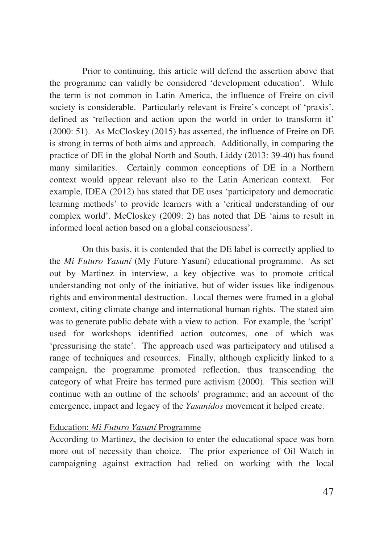Prior to continuing, this article will defend the assertion above that the programme can validly be considered 'development education'. While the term is not common in Latin America, the influence of Freire on civil society is considerable. Particularly relevant is Freire's concept of 'praxis', defined as 'reflection and action upon the world in order to transform it' (2000: 51). As McCloskey (2015) has asserted, the influence of Freire on DE is strong in terms of both aims and approach. Additionally, in comparing the practice of DE in the global North and South, Liddy (2013: 39-40) has found many similarities. Certainly common conceptions of DE in a Northern context would appear relevant also to the Latin American context. For example, IDEA (2012) has stated that DE uses 'participatory and democratic learning methods' to provide learners with a 'critical understanding of our complex world'. McCloskey (2009: 2) has noted that DE 'aims to result in informed local action based on a global consciousness'.

On this basis, it is contended that the DE label is correctly applied to the *Mi Futuro Yasuní* (My Future Yasuní) educational programme. As set out by Martinez in interview, a key objective was to promote critical understanding not only of the initiative, but of wider issues like indigenous rights and environmental destruction. Local themes were framed in a global context, citing climate change and international human rights. The stated aim was to generate public debate with a view to action. For example, the 'script' used for workshops identified action outcomes, one of which was 'pressurising the state'. The approach used was participatory and utilised a range of techniques and resources. Finally, although explicitly linked to a campaign, the programme promoted reflection, thus transcending the category of what Freire has termed pure activism (2000). This section will continue with an outline of the schools' programme; and an account of the emergence, impact and legacy of the *Yasunídos* movement it helped create.

### Education: *Mi Futuro Yasuní* Programme

According to Martinez, the decision to enter the educational space was born more out of necessity than choice. The prior experience of Oil Watch in campaigning against extraction had relied on working with the local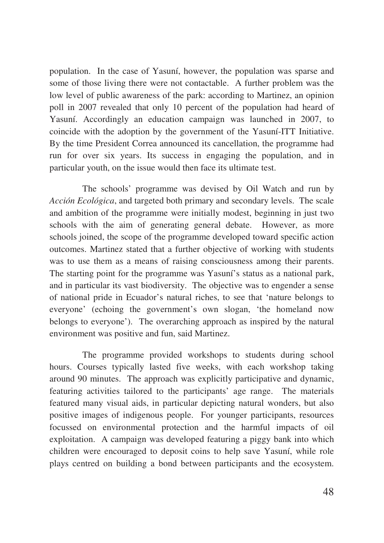population. In the case of Yasuní, however, the population was sparse and some of those living there were not contactable. A further problem was the low level of public awareness of the park: according to Martinez, an opinion poll in 2007 revealed that only 10 percent of the population had heard of Yasuní. Accordingly an education campaign was launched in 2007, to coincide with the adoption by the government of the Yasuní-ITT Initiative. By the time President Correa announced its cancellation, the programme had run for over six years. Its success in engaging the population, and in particular youth, on the issue would then face its ultimate test.

The schools' programme was devised by Oil Watch and run by *Acción Ecológica*, and targeted both primary and secondary levels. The scale and ambition of the programme were initially modest, beginning in just two schools with the aim of generating general debate. However, as more schools joined, the scope of the programme developed toward specific action outcomes. Martinez stated that a further objective of working with students was to use them as a means of raising consciousness among their parents. The starting point for the programme was Yasuní's status as a national park, and in particular its vast biodiversity. The objective was to engender a sense of national pride in Ecuador's natural riches, to see that 'nature belongs to everyone' (echoing the government's own slogan, 'the homeland now belongs to everyone'). The overarching approach as inspired by the natural environment was positive and fun, said Martinez.

The programme provided workshops to students during school hours. Courses typically lasted five weeks, with each workshop taking around 90 minutes. The approach was explicitly participative and dynamic, featuring activities tailored to the participants' age range. The materials featured many visual aids, in particular depicting natural wonders, but also positive images of indigenous people. For younger participants, resources focussed on environmental protection and the harmful impacts of oil exploitation. A campaign was developed featuring a piggy bank into which children were encouraged to deposit coins to help save Yasuní, while role plays centred on building a bond between participants and the ecosystem.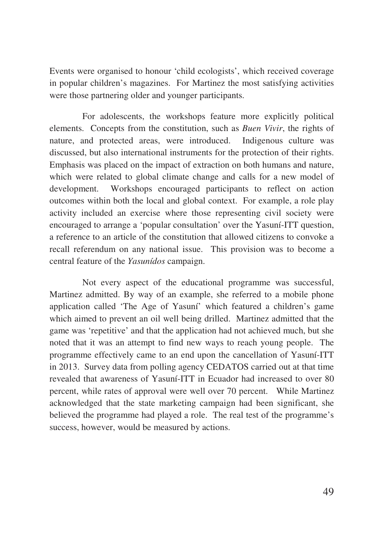Events were organised to honour 'child ecologists', which received coverage in popular children's magazines. For Martinez the most satisfying activities were those partnering older and younger participants.

For adolescents, the workshops feature more explicitly political elements. Concepts from the constitution, such as *Buen Vivir*, the rights of nature, and protected areas, were introduced. Indigenous culture was discussed, but also international instruments for the protection of their rights. Emphasis was placed on the impact of extraction on both humans and nature, which were related to global climate change and calls for a new model of development. Workshops encouraged participants to reflect on action outcomes within both the local and global context. For example, a role play activity included an exercise where those representing civil society were encouraged to arrange a 'popular consultation' over the Yasuní-ITT question, a reference to an article of the constitution that allowed citizens to convoke a recall referendum on any national issue. This provision was to become a central feature of the *Yasunídos* campaign.

Not every aspect of the educational programme was successful, Martinez admitted. By way of an example, she referred to a mobile phone application called 'The Age of Yasuní' which featured a children's game which aimed to prevent an oil well being drilled. Martinez admitted that the game was 'repetitive' and that the application had not achieved much, but she noted that it was an attempt to find new ways to reach young people. The programme effectively came to an end upon the cancellation of Yasuní-ITT in 2013. Survey data from polling agency CEDATOS carried out at that time revealed that awareness of Yasuní-ITT in Ecuador had increased to over 80 percent, while rates of approval were well over 70 percent. While Martinez acknowledged that the state marketing campaign had been significant, she believed the programme had played a role. The real test of the programme's success, however, would be measured by actions.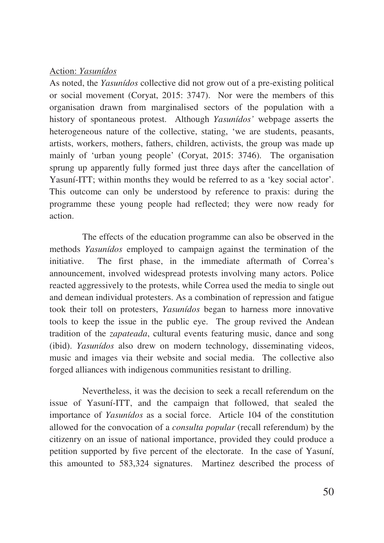#### Action: *Yasunídos*

As noted, the *Yasunídos* collective did not grow out of a pre-existing political or social movement (Coryat, 2015: 3747). Nor were the members of this organisation drawn from marginalised sectors of the population with a history of spontaneous protest. Although *Yasunídos'* webpage asserts the heterogeneous nature of the collective, stating, 'we are students, peasants, artists, workers, mothers, fathers, children, activists, the group was made up mainly of 'urban young people' (Coryat, 2015: 3746). The organisation sprung up apparently fully formed just three days after the cancellation of Yasuní-ITT; within months they would be referred to as a 'key social actor'. This outcome can only be understood by reference to praxis: during the programme these young people had reflected; they were now ready for action.

The effects of the education programme can also be observed in the methods *Yasunídos* employed to campaign against the termination of the initiative. The first phase, in the immediate aftermath of Correa's announcement, involved widespread protests involving many actors. Police reacted aggressively to the protests, while Correa used the media to single out and demean individual protesters. As a combination of repression and fatigue took their toll on protesters, *Yasunídos* began to harness more innovative tools to keep the issue in the public eye. The group revived the Andean tradition of the *zapateada*, cultural events featuring music, dance and song (ibid). *Yasunídos* also drew on modern technology, disseminating videos, music and images via their website and social media. The collective also forged alliances with indigenous communities resistant to drilling.

Nevertheless, it was the decision to seek a recall referendum on the issue of Yasuní-ITT, and the campaign that followed, that sealed the importance of *Yasunídos* as a social force. Article 104 of the constitution allowed for the convocation of a *consulta popular* (recall referendum) by the citizenry on an issue of national importance, provided they could produce a petition supported by five percent of the electorate. In the case of Yasuní, this amounted to 583,324 signatures. Martinez described the process of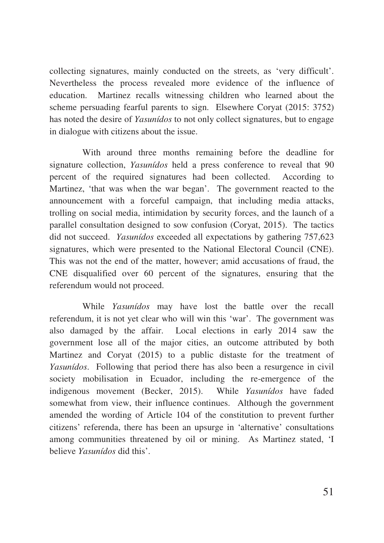collecting signatures, mainly conducted on the streets, as 'very difficult'. Nevertheless the process revealed more evidence of the influence of education. Martinez recalls witnessing children who learned about the scheme persuading fearful parents to sign. Elsewhere Coryat (2015: 3752) has noted the desire of *Yasunídos* to not only collect signatures, but to engage in dialogue with citizens about the issue.

With around three months remaining before the deadline for signature collection, *Yasunídos* held a press conference to reveal that 90 percent of the required signatures had been collected. According to Martinez, 'that was when the war began'. The government reacted to the announcement with a forceful campaign, that including media attacks, trolling on social media, intimidation by security forces, and the launch of a parallel consultation designed to sow confusion (Coryat, 2015). The tactics did not succeed. *Yasunídos* exceeded all expectations by gathering 757,623 signatures, which were presented to the National Electoral Council (CNE). This was not the end of the matter, however; amid accusations of fraud, the CNE disqualified over 60 percent of the signatures, ensuring that the referendum would not proceed.

While *Yasunídos* may have lost the battle over the recall referendum, it is not yet clear who will win this 'war'. The government was also damaged by the affair. Local elections in early 2014 saw the government lose all of the major cities, an outcome attributed by both Martinez and Coryat (2015) to a public distaste for the treatment of *Yasunídos*. Following that period there has also been a resurgence in civil society mobilisation in Ecuador, including the re-emergence of the indigenous movement (Becker, 2015). While *Yasunídos* have faded somewhat from view, their influence continues. Although the government amended the wording of Article 104 of the constitution to prevent further citizens' referenda, there has been an upsurge in 'alternative' consultations among communities threatened by oil or mining. As Martinez stated, 'I believe *Yasunídos* did this'.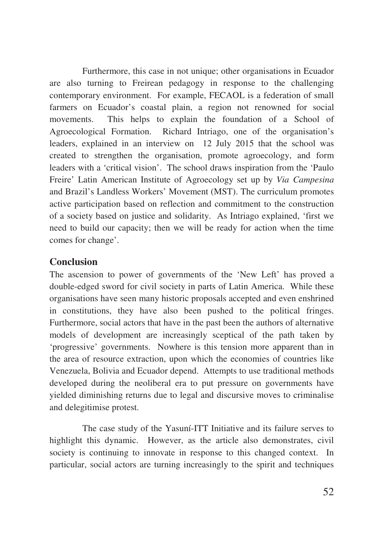Furthermore, this case in not unique; other organisations in Ecuador are also turning to Freirean pedagogy in response to the challenging contemporary environment. For example, FECAOL is a federation of small farmers on Ecuador's coastal plain, a region not renowned for social movements. This helps to explain the foundation of a School of Agroecological Formation. Richard Intriago, one of the organisation's leaders, explained in an interview on 12 July 2015 that the school was created to strengthen the organisation, promote agroecology, and form leaders with a 'critical vision'. The school draws inspiration from the 'Paulo Freire' Latin American Institute of Agroecology set up by *Via Campesina* and Brazil's Landless Workers' Movement (MST). The curriculum promotes active participation based on reflection and commitment to the construction of a society based on justice and solidarity. As Intriago explained, 'first we need to build our capacity; then we will be ready for action when the time comes for change'.

## **Conclusion**

The ascension to power of governments of the 'New Left' has proved a double-edged sword for civil society in parts of Latin America. While these organisations have seen many historic proposals accepted and even enshrined in constitutions, they have also been pushed to the political fringes. Furthermore, social actors that have in the past been the authors of alternative models of development are increasingly sceptical of the path taken by 'progressive' governments. Nowhere is this tension more apparent than in the area of resource extraction, upon which the economies of countries like Venezuela, Bolivia and Ecuador depend. Attempts to use traditional methods developed during the neoliberal era to put pressure on governments have yielded diminishing returns due to legal and discursive moves to criminalise and delegitimise protest.

The case study of the Yasuní-ITT Initiative and its failure serves to highlight this dynamic. However, as the article also demonstrates, civil society is continuing to innovate in response to this changed context. In particular, social actors are turning increasingly to the spirit and techniques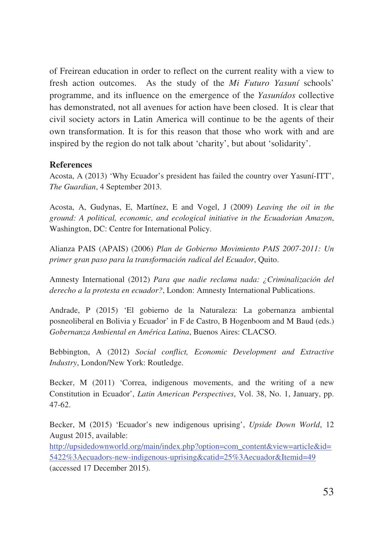of Freirean education in order to reflect on the current reality with a view to fresh action outcomes. As the study of the *Mi Futuro Yasuní* schools' programme, and its influence on the emergence of the *Yasunídos* collective has demonstrated, not all avenues for action have been closed. It is clear that civil society actors in Latin America will continue to be the agents of their own transformation. It is for this reason that those who work with and are inspired by the region do not talk about 'charity', but about 'solidarity'.

#### **References**

Acosta, A (2013) 'Why Ecuador's president has failed the country over Yasuní-ITT', *The Guardian*, 4 September 2013.

Acosta, A, Gudynas, E, Martínez, E and Vogel, J (2009) *Leaving the oil in the ground: A political, economic, and ecological initiative in the Ecuadorian Amazon*, Washington, DC: Centre for International Policy.

Alianza PAIS (APAIS) (2006) *Plan de Gobierno Movimiento PAIS 2007-2011: Un primer gran paso para la transformación radical del Ecuador*, Quito.

Amnesty International (2012) *Para que nadie reclama nada: ¿Criminalización del derecho a la protesta en ecuador?*, London: Amnesty International Publications.

Andrade, P (2015) 'El gobierno de la Naturaleza: La gobernanza ambiental posneoliberal en Bolivia y Ecuador' in F de Castro, B Hogenboom and M Baud (eds.) *Gobernanza Ambiental en América Latina*, Buenos Aires: CLACSO.

Bebbington, A (2012) *Social conflict, Economic Development and Extractive Industry*, London/New York: Routledge.

Becker, M (2011) 'Correa, indigenous movements, and the writing of a new Constitution in Ecuador', *Latin American Perspectives*, Vol. 38, No. 1, January, pp. 47-62.

Becker, M (2015) 'Ecuador's new indigenous uprising', *Upside Down World*, 12 August 2015, available:

http://upsidedownworld.org/main/index.php?option=com\_content&view=article&id= 5422%3Aecuadors-new-indigenous-uprising&catid=25%3Aecuador&Itemid=49 (accessed 17 December 2015).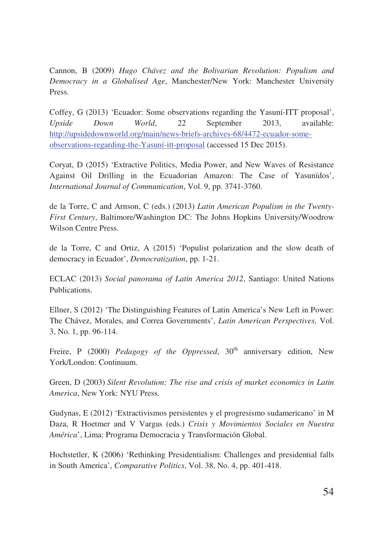Cannon, B (2009) *Hugo Chávez and the Bolivarian Revolution: Populism and Democracy in a Globalised Age*, Manchester/New York: Manchester University Press.

Coffey, G (2013) 'Ecuador: Some observations regarding the Yasuní-ITT proposal', *Upside Down World*, 22 September 2013, available: http://upsidedownworld.org/main/news-briefs-archives-68/4472-ecuador-someobservations-regarding-the-Yasuní-itt-proposal (accessed 15 Dec 2015).

Coryat, D (2015) 'Extractive Politics, Media Power, and New Waves of Resistance Against Oil Drilling in the Ecuadorian Amazon: The Case of Yasunídos', *International Journal of Communication*, Vol. 9, pp. 3741-3760.

de la Torre, C and Arnson, C (eds.) (2013) *Latin American Populism in the Twenty-First Century*, Baltimore/Washington DC: The Johns Hopkins University/Woodrow Wilson Centre Press.

de la Torre, C and Ortiz, A (2015) 'Populist polarization and the slow death of democracy in Ecuador', *Democratization*, pp. 1-21.

ECLAC (2013) *Social panorama of Latin America 2012*, Santiago: United Nations Publications.

Ellner, S (2012) 'The Distinguishing Features of Latin America's New Left in Power: The Chávez, Morales, and Correa Governments', *Latin American Perspectives,* Vol. 3, No. 1, pp. 96-114.

Freire, P (2000) *Pedagogy of the Oppressed*, 30<sup>th</sup> anniversary edition, New York/London: Continuum.

Green, D (2003) *Silent Revolution: The rise and crisis of market economics in Latin America*, New York: NYU Press.

Gudynas, E (2012) 'Extractivismos persistentes y el progresismo sudamericano' in M Daza, R Hoetmer and V Vargas (eds.) *Crisis y Movimientos Sociales en Nuestra América*', Lima: Programa Democracia y Transformación Global.

Hochstetler, K (2006) 'Rethinking Presidentialism: Challenges and presidential falls in South America', *Comparative Politics*, Vol. 38, No. 4, pp. 401-418.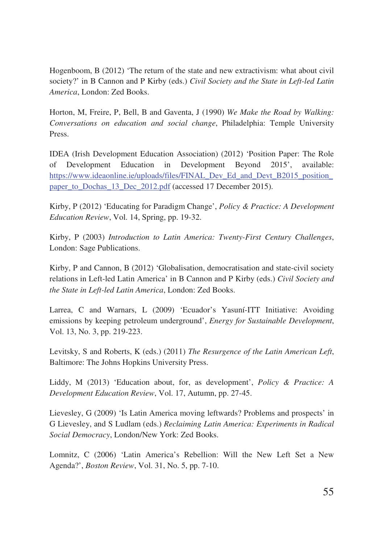Hogenboom, B (2012) 'The return of the state and new extractivism: what about civil society?' in B Cannon and P Kirby (eds.) *Civil Society and the State in Left-led Latin America*, London: Zed Books.

Horton, M, Freire, P, Bell, B and Gaventa, J (1990) *We Make the Road by Walking: Conversations on education and social change*, Philadelphia: Temple University Press.

IDEA (Irish Development Education Association) (2012) 'Position Paper: The Role of Development Education in Development Beyond 2015', available: https://www.ideaonline.ie/uploads/files/FINAL\_Dev\_Ed\_and\_Devt\_B2015\_position paper\_to\_Dochas\_13\_Dec\_2012.pdf (accessed 17 December 2015).

Kirby, P (2012) 'Educating for Paradigm Change', *Policy & Practice: A Development Education Review*, Vol. 14, Spring, pp. 19-32.

Kirby, P (2003) *Introduction to Latin America: Twenty-First Century Challenges*, London: Sage Publications.

Kirby, P and Cannon, B (2012) 'Globalisation, democratisation and state-civil society relations in Left-led Latin America' in B Cannon and P Kirby (eds.) *Civil Society and the State in Left-led Latin America*, London: Zed Books.

Larrea, C and Warnars, L (2009) 'Ecuador's Yasuní-ITT Initiative: Avoiding emissions by keeping petroleum underground', *Energy for Sustainable Development*, Vol. 13, No. 3, pp. 219-223.

Levitsky, S and Roberts, K (eds.) (2011) *The Resurgence of the Latin American Left*, Baltimore: The Johns Hopkins University Press.

Liddy, M (2013) 'Education about, for, as development', *Policy & Practice: A Development Education Review*, Vol. 17, Autumn, pp. 27-45.

Lievesley, G (2009) 'Is Latin America moving leftwards? Problems and prospects' in G Lievesley, and S Ludlam (eds.) *Reclaiming Latin America: Experiments in Radical Social Democracy*, London/New York: Zed Books.

Lomnitz, C (2006) 'Latin America's Rebellion: Will the New Left Set a New Agenda?', *Boston Review*, Vol. 31, No. 5, pp. 7-10.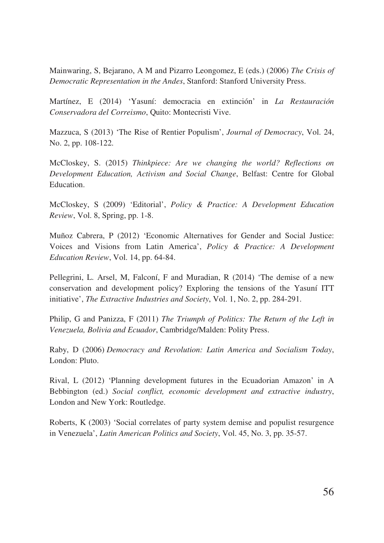Mainwaring, S, Bejarano, A M and Pizarro Leongomez, E (eds.) (2006) *The Crisis of Democratic Representation in the Andes*, Stanford: Stanford University Press.

Martínez, E (2014) 'Yasuní: democracia en extinción' in *La Restauración Conservadora del Correismo*, Quito: Montecristi Vive.

Mazzuca, S (2013) 'The Rise of Rentier Populism', *Journal of Democracy*, Vol. 24, No. 2, pp. 108-122.

McCloskey, S. (2015) *Thinkpiece: Are we changing the world? Reflections on Development Education, Activism and Social Change*, Belfast: Centre for Global Education.

McCloskey, S (2009) 'Editorial', *Policy & Practice: A Development Education Review*, Vol. 8, Spring, pp. 1-8.

Muñoz Cabrera, P (2012) 'Economic Alternatives for Gender and Social Justice: Voices and Visions from Latin America', *Policy & Practice: A Development Education Review*, Vol. 14, pp. 64-84.

Pellegrini, L. Arsel, M, Falconí, F and Muradian, R (2014) 'The demise of a new conservation and development policy? Exploring the tensions of the Yasuní ITT initiative', *The Extractive Industries and Society*, Vol. 1, No. 2, pp. 284-291.

Philip, G and Panizza, F (2011) *The Triumph of Politics: The Return of the Left in Venezuela, Bolivia and Ecuador*, Cambridge/Malden: Polity Press.

Raby, D (2006) *Democracy and Revolution: Latin America and Socialism Today*, London: Pluto.

Rival, L (2012) 'Planning development futures in the Ecuadorian Amazon' in A Bebbington (ed.) *Social conflict, economic development and extractive industry*, London and New York: Routledge.

Roberts, K (2003) 'Social correlates of party system demise and populist resurgence in Venezuela', *Latin American Politics and Society*, Vol. 45, No. 3, pp. 35-57.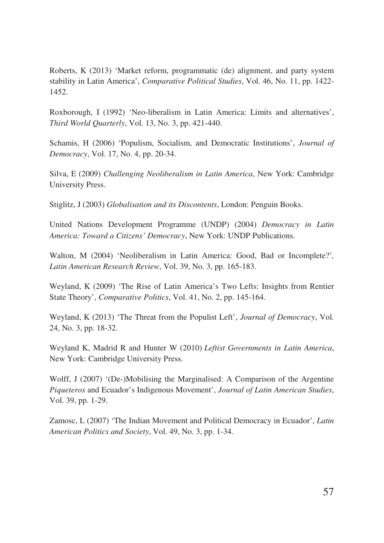Roberts, K (2013) 'Market reform, programmatic (de) alignment, and party system stability in Latin America', *Comparative Political Studies*, Vol. 46, No. 11, pp. 1422- 1452.

Roxborough, I (1992) 'Neo-liberalism in Latin America: Limits and alternatives', *Third World Quarterly*, Vol. 13, No. 3, pp. 421-440.

Schamis, H (2006) 'Populism, Socialism, and Democratic Institutions', *Journal of Democracy*, Vol. 17, No. 4, pp. 20-34.

Silva, E (2009) *Challenging Neoliberalism in Latin America*, New York: Cambridge University Press.

Stiglitz, J (2003) *Globalisation and its Discontents*, London: Penguin Books.

United Nations Development Programme (UNDP) (2004) *Democracy in Latin America: Toward a Citizens' Democracy*, New York: UNDP Publications.

Walton, M (2004) 'Neoliberalism in Latin America: Good, Bad or Incomplete?'*, Latin American Research Review*, Vol. 39, No. 3, pp. 165-183.

Weyland, K (2009) 'The Rise of Latin America's Two Lefts: Insights from Rentier State Theory', *Comparative Politics*, Vol. 41, No. 2, pp. 145-164.

Weyland, K (2013) 'The Threat from the Populist Left', *Journal of Democracy*, Vol. 24, No. 3, pp. 18-32.

Weyland K, Madrid R and Hunter W (2010) *Leftist Governments in Latin America*, New York: Cambridge University Press.

Wolff, J (2007) '(De-)Mobilising the Marginalised: A Comparison of the Argentine *Piqueteros* and Ecuador's Indigenous Movement', *Journal of Latin American Studies*, Vol. 39, pp. 1-29.

Zamosc, L (2007) 'The Indian Movement and Political Democracy in Ecuador', *Latin American Politics and Society*, Vol. 49, No. 3, pp. 1-34.